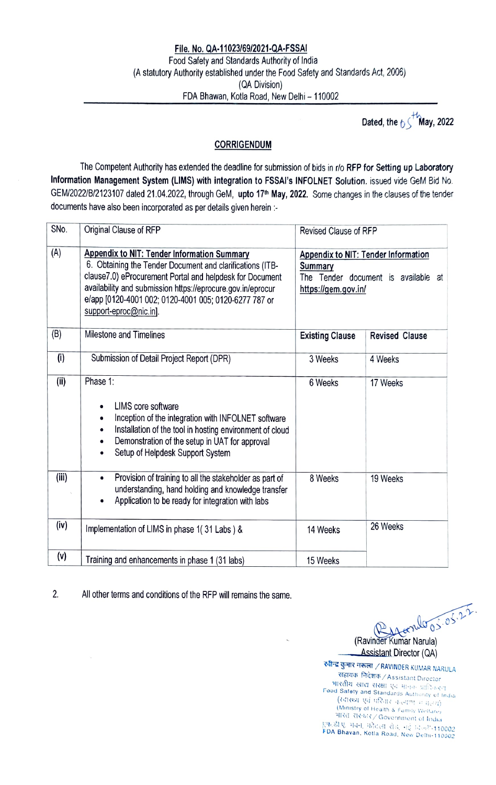## File. No. QA-11023/69/2021-QA-FSSAI<br>Food Safety and Standards Authority of India (A statutory Authority established under the Food Safety and Standards Act, 2006) (QA Division) FDA Bhawan, Kotla Road, New Delhi - 110002

Dated, the  $\int_{0}^{+\infty}$  May, 2022

## CORRIGENDUM

The Competent Authority has extended the deadline for submission of bids in r/o RFP for Setting up Laboratory Information Management System (LIMS) with integration to FSSAI's INFOLNET Solution. issued vide GeM Bid No. GEM/2022/B/2123107 dated 21.04.2022, through GeM, upto 17<sup>th</sup> May, 2022. Some changes in the clauses of the tender documents have also been incorporated as per details given herein :-

| SN <sub>o</sub> | Original Clause of RFP                                                                                                                                                                                                                                                                                                 | Revised Clause of RFP                                                                                        |  |
|-----------------|------------------------------------------------------------------------------------------------------------------------------------------------------------------------------------------------------------------------------------------------------------------------------------------------------------------------|--------------------------------------------------------------------------------------------------------------|--|
| (A)             | Appendix to NIT: Tender Information Summary<br>6. Obtaining the Tender Document and clarifications (ITB-<br>clause7.0) eProcurement Portal and helpdesk for Document<br>availability and submission https://eprocure.gov.in/eprocur<br>e/app [0120-4001 002; 0120-4001 005; 0120-6277 787 or<br>support-eproc@nic.in]. | Appendix to NIT: Tender Information<br>Summary<br>The Tender document is available at<br>https://gem.gov.in/ |  |
| (B)             | Milestone and Timelines                                                                                                                                                                                                                                                                                                | <b>Existing Clause</b><br><b>Revised Clause</b>                                                              |  |
| (i)             | Submission of Detail Project Report (DPR)                                                                                                                                                                                                                                                                              | 3 Weeks<br>4 Weeks                                                                                           |  |
| (ii)            | Phase 1:<br><b>LIMS</b> core software<br>Inception of the integration with INFOLNET software<br>Installation of the tool in hosting environment of cloud<br>Demonstration of the setup in UAT for approval<br>Setup of Helpdesk Support System                                                                         | 6 Weeks<br>17 Weeks                                                                                          |  |
| (iii)           | Provision of training to all the stakeholder as part of<br>$\bullet$<br>understanding, hand holding and knowledge transfer<br>Application to be ready for integration with labs                                                                                                                                        | 8 Weeks<br>19 Weeks                                                                                          |  |
| (iv)            | Implementation of LIMS in phase 1(31 Labs) &                                                                                                                                                                                                                                                                           | 26 Weeks<br>14 Weeks                                                                                         |  |
| (v)             | Training and enhancements in phase 1 (31 labs)                                                                                                                                                                                                                                                                         | 15 Weeks                                                                                                     |  |

2. All other terms and conditions of the RFP will remains the same.

 $A$ (Ravinder Kumar Narula)

Assistant Director (QA)

रवीन्द्र कुमार नरूला / RAVINDER KUMAR NARULA - सहायक निदेशक / Assistant Director<br>भारतीय खाद्य संरक्षा एवं मानक प्राप्तिकरण Foud Safety and Standards Authunty of India (Ministry of Health & Fumily Welfare) भारत संस्कार/ Government of India SI. 4i, leil is, 1 FDA 110002 Bhavan, Kotla Road. New Delli-110002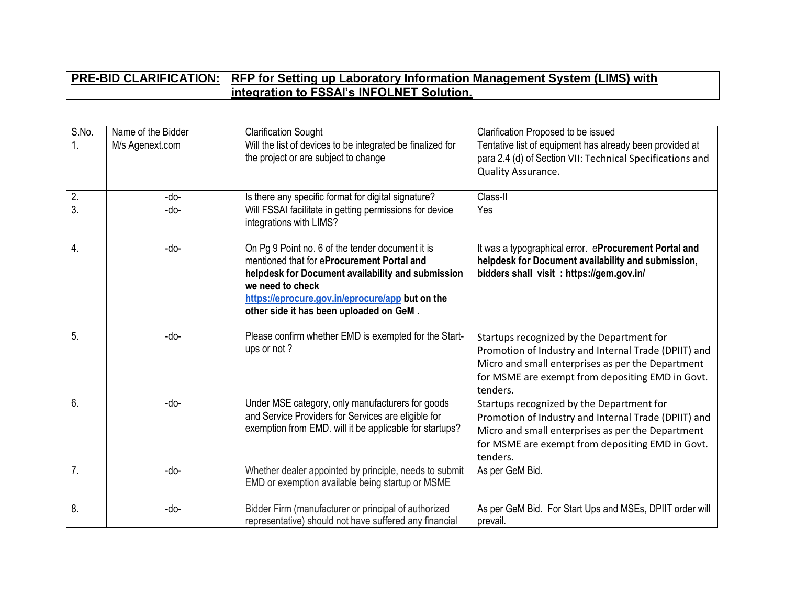## **PRE-BID CLARIFICATION:** RFP for Setting up Laboratory Information Management System (LIMS) with **integration to FSSAI's INFOLNET Solution.**

| S.No.            | Name of the Bidder | <b>Clarification Sought</b>                                                                                                                                                                                                | Clarification Proposed to be issued                                                                                                                                                                                    |
|------------------|--------------------|----------------------------------------------------------------------------------------------------------------------------------------------------------------------------------------------------------------------------|------------------------------------------------------------------------------------------------------------------------------------------------------------------------------------------------------------------------|
| 1.               | M/s Agenext.com    | Will the list of devices to be integrated be finalized for                                                                                                                                                                 | Tentative list of equipment has already been provided at                                                                                                                                                               |
|                  |                    | the project or are subject to change                                                                                                                                                                                       | para 2.4 (d) of Section VII: Technical Specifications and                                                                                                                                                              |
|                  |                    |                                                                                                                                                                                                                            | Quality Assurance.                                                                                                                                                                                                     |
| $\overline{2}$ . | -do-               | Is there any specific format for digital signature?                                                                                                                                                                        | Class-II                                                                                                                                                                                                               |
| $\overline{3}$ . | -do-               | Will FSSAI facilitate in getting permissions for device<br>integrations with LIMS?                                                                                                                                         | Yes                                                                                                                                                                                                                    |
| $\overline{4}$ . | -do-               | On Pg 9 Point no. 6 of the tender document it is<br>mentioned that for eProcurement Portal and<br>helpdesk for Document availability and submission<br>we need to check<br>https://eprocure.gov.in/eprocure/app but on the | It was a typographical error. eProcurement Portal and<br>helpdesk for Document availability and submission,<br>bidders shall visit: https://gem.gov.in/                                                                |
|                  |                    | other side it has been uploaded on GeM.                                                                                                                                                                                    |                                                                                                                                                                                                                        |
| 5.               | -do-               | Please confirm whether EMD is exempted for the Start-<br>ups or not?                                                                                                                                                       | Startups recognized by the Department for<br>Promotion of Industry and Internal Trade (DPIIT) and<br>Micro and small enterprises as per the Department<br>for MSME are exempt from depositing EMD in Govt.<br>tenders. |
| 6.               | -do-               | Under MSE category, only manufacturers for goods<br>and Service Providers for Services are eligible for<br>exemption from EMD. will it be applicable for startups?                                                         | Startups recognized by the Department for<br>Promotion of Industry and Internal Trade (DPIIT) and<br>Micro and small enterprises as per the Department<br>for MSME are exempt from depositing EMD in Govt.<br>tenders. |
| $\overline{7}$ . | -do-               | Whether dealer appointed by principle, needs to submit<br>EMD or exemption available being startup or MSME                                                                                                                 | As per GeM Bid.                                                                                                                                                                                                        |
| $\overline{8}$   | -do-               | Bidder Firm (manufacturer or principal of authorized<br>representative) should not have suffered any financial                                                                                                             | As per GeM Bid. For Start Ups and MSEs, DPIIT order will<br>prevail.                                                                                                                                                   |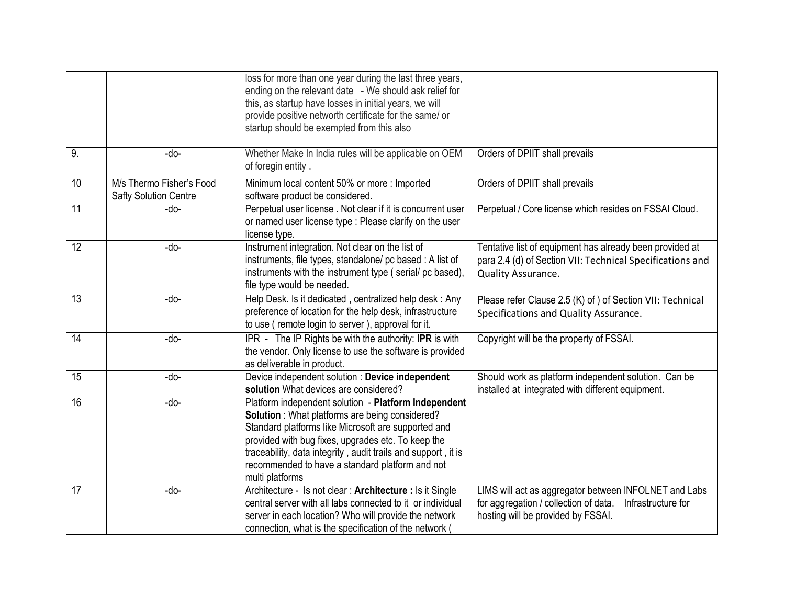|                 |                                                          | loss for more than one year during the last three years,<br>ending on the relevant date - We should ask relief for<br>this, as startup have losses in initial years, we will<br>provide positive networth certificate for the same/ or<br>startup should be exempted from this also                                                                                |                                                                                                                                                            |
|-----------------|----------------------------------------------------------|--------------------------------------------------------------------------------------------------------------------------------------------------------------------------------------------------------------------------------------------------------------------------------------------------------------------------------------------------------------------|------------------------------------------------------------------------------------------------------------------------------------------------------------|
| 9.              | -do-                                                     | Whether Make In India rules will be applicable on OEM<br>of foregin entity.                                                                                                                                                                                                                                                                                        | Orders of DPIIT shall prevails                                                                                                                             |
| 10              | M/s Thermo Fisher's Food<br><b>Safty Solution Centre</b> | Minimum local content 50% or more: Imported<br>software product be considered.                                                                                                                                                                                                                                                                                     | Orders of DPIIT shall prevails                                                                                                                             |
| $\overline{11}$ | -do-                                                     | Perpetual user license. Not clear if it is concurrent user<br>or named user license type : Please clarify on the user<br>license type.                                                                                                                                                                                                                             | Perpetual / Core license which resides on FSSAI Cloud.                                                                                                     |
| $\overline{12}$ | -do-                                                     | Instrument integration. Not clear on the list of<br>instruments, file types, standalone/ pc based: A list of<br>instruments with the instrument type (serial/pc based),<br>file type would be needed.                                                                                                                                                              | Tentative list of equipment has already been provided at<br>para 2.4 (d) of Section VII: Technical Specifications and<br>Quality Assurance.                |
| $\overline{13}$ | -do-                                                     | Help Desk. Is it dedicated, centralized help desk: Any<br>preference of location for the help desk, infrastructure<br>to use (remote login to server), approval for it.                                                                                                                                                                                            | Please refer Clause 2.5 (K) of ) of Section VII: Technical<br>Specifications and Quality Assurance.                                                        |
| 14              | -do-                                                     | IPR - The IP Rights be with the authority: IPR is with<br>the vendor. Only license to use the software is provided<br>as deliverable in product.                                                                                                                                                                                                                   | Copyright will be the property of FSSAI.                                                                                                                   |
| 15              | -do-                                                     | Device independent solution : Device independent<br>solution What devices are considered?                                                                                                                                                                                                                                                                          | Should work as platform independent solution. Can be<br>installed at integrated with different equipment.                                                  |
| 16              | -do-                                                     | Platform independent solution - Platform Independent<br><b>Solution</b> : What platforms are being considered?<br>Standard platforms like Microsoft are supported and<br>provided with bug fixes, upgrades etc. To keep the<br>traceability, data integrity, audit trails and support, it is<br>recommended to have a standard platform and not<br>multi platforms |                                                                                                                                                            |
| 17              | -do-                                                     | Architecture - Is not clear: Architecture : Is it Single<br>central server with all labs connected to it or individual<br>server in each location? Who will provide the network<br>connection, what is the specification of the network (                                                                                                                          | LIMS will act as aggregator between INFOLNET and Labs<br>for aggregation / collection of data.<br>Infrastructure for<br>hosting will be provided by FSSAI. |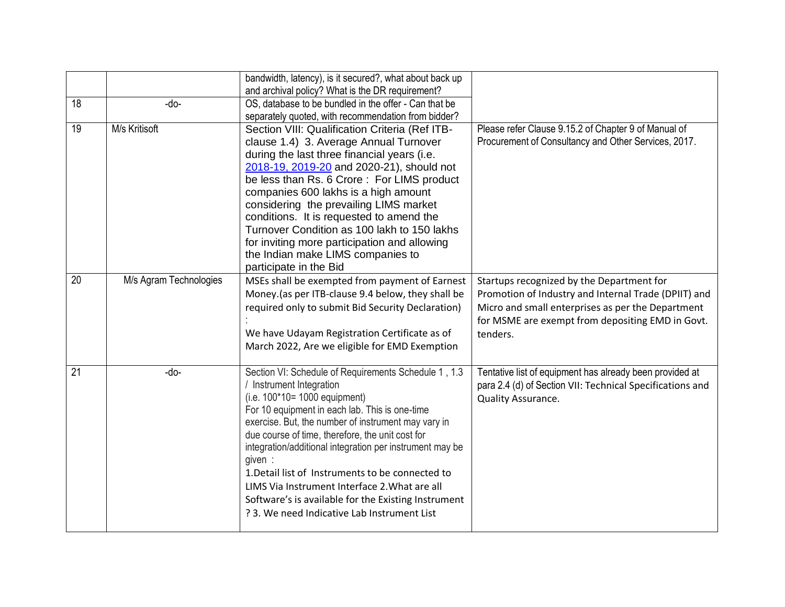|                 |                        | bandwidth, latency), is it secured?, what about back up<br>and archival policy? What is the DR requirement?                                                                                                                                                                                                                                                                                                                                                                                                                                                     |                                                                                                                                                                                                                        |
|-----------------|------------------------|-----------------------------------------------------------------------------------------------------------------------------------------------------------------------------------------------------------------------------------------------------------------------------------------------------------------------------------------------------------------------------------------------------------------------------------------------------------------------------------------------------------------------------------------------------------------|------------------------------------------------------------------------------------------------------------------------------------------------------------------------------------------------------------------------|
| 18              | -do-                   | OS, database to be bundled in the offer - Can that be<br>separately quoted, with recommendation from bidder?                                                                                                                                                                                                                                                                                                                                                                                                                                                    |                                                                                                                                                                                                                        |
| 19              | M/s Kritisoft          | Section VIII: Qualification Criteria (Ref ITB-<br>clause 1.4) 3. Average Annual Turnover<br>during the last three financial years (i.e.<br>2018-19, 2019-20 and 2020-21), should not<br>be less than Rs. 6 Crore: For LIMS product<br>companies 600 lakhs is a high amount<br>considering the prevailing LIMS market<br>conditions. It is requested to amend the<br>Turnover Condition as 100 lakh to 150 lakhs<br>for inviting more participation and allowing<br>the Indian make LIMS companies to<br>participate in the Bid                                  | Please refer Clause 9.15.2 of Chapter 9 of Manual of<br>Procurement of Consultancy and Other Services, 2017.                                                                                                           |
| 20              | M/s Agram Technologies | MSEs shall be exempted from payment of Earnest<br>Money.(as per ITB-clause 9.4 below, they shall be<br>required only to submit Bid Security Declaration)<br>We have Udayam Registration Certificate as of<br>March 2022, Are we eligible for EMD Exemption                                                                                                                                                                                                                                                                                                      | Startups recognized by the Department for<br>Promotion of Industry and Internal Trade (DPIIT) and<br>Micro and small enterprises as per the Department<br>for MSME are exempt from depositing EMD in Govt.<br>tenders. |
| $\overline{21}$ | -do-                   | Section VI: Schedule of Requirements Schedule 1, 1.3<br>Instrument Integration<br>$(i.e. 100*10=1000$ equipment)<br>For 10 equipment in each lab. This is one-time<br>exercise. But, the number of instrument may vary in<br>due course of time, therefore, the unit cost for<br>integration/additional integration per instrument may be<br>given :<br>1. Detail list of Instruments to be connected to<br>LIMS Via Instrument Interface 2. What are all<br>Software's is available for the Existing Instrument<br>? 3. We need Indicative Lab Instrument List | Tentative list of equipment has already been provided at<br>para 2.4 (d) of Section VII: Technical Specifications and<br>Quality Assurance.                                                                            |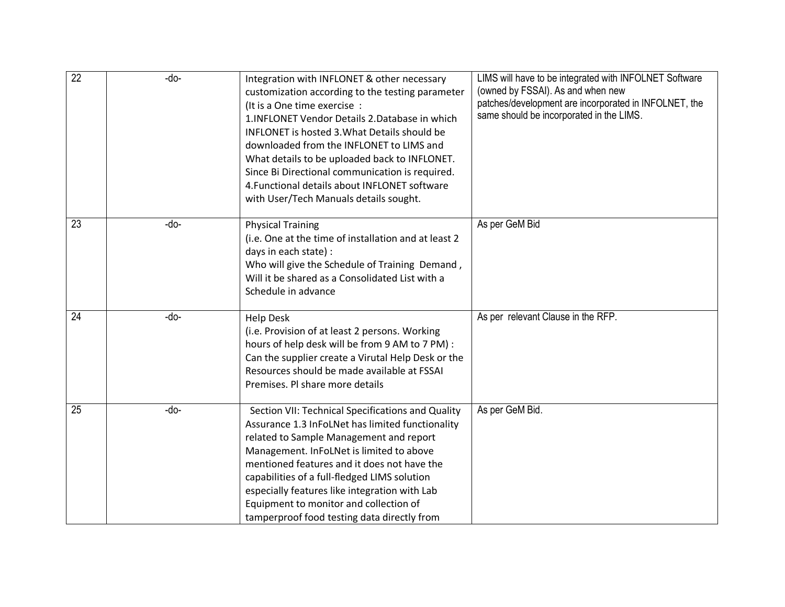| $\overline{22}$ | -do- | Integration with INFLONET & other necessary<br>customization according to the testing parameter<br>(It is a One time exercise:<br>1. INFLONET Vendor Details 2. Database in which<br><b>INFLONET</b> is hosted 3. What Details should be<br>downloaded from the INFLONET to LIMS and<br>What details to be uploaded back to INFLONET.<br>Since Bi Directional communication is required.<br>4. Functional details about INFLONET software<br>with User/Tech Manuals details sought. | LIMS will have to be integrated with INFOLNET Software<br>(owned by FSSAI). As and when new<br>patches/development are incorporated in INFOLNET, the<br>same should be incorporated in the LIMS. |
|-----------------|------|-------------------------------------------------------------------------------------------------------------------------------------------------------------------------------------------------------------------------------------------------------------------------------------------------------------------------------------------------------------------------------------------------------------------------------------------------------------------------------------|--------------------------------------------------------------------------------------------------------------------------------------------------------------------------------------------------|
| 23              | -do- | <b>Physical Training</b><br>(i.e. One at the time of installation and at least 2<br>days in each state) :<br>Who will give the Schedule of Training Demand,<br>Will it be shared as a Consolidated List with a<br>Schedule in advance                                                                                                                                                                                                                                               | As per GeM Bid                                                                                                                                                                                   |
| $\overline{24}$ | -do- | <b>Help Desk</b><br>(i.e. Provision of at least 2 persons. Working<br>hours of help desk will be from 9 AM to 7 PM) :<br>Can the supplier create a Virutal Help Desk or the<br>Resources should be made available at FSSAI<br>Premises. Pl share more details                                                                                                                                                                                                                       | As per relevant Clause in the RFP.                                                                                                                                                               |
| $\overline{25}$ | -do- | Section VII: Technical Specifications and Quality<br>Assurance 1.3 InFoLNet has limited functionality<br>related to Sample Management and report<br>Management. InFoLNet is limited to above<br>mentioned features and it does not have the<br>capabilities of a full-fledged LIMS solution<br>especially features like integration with Lab<br>Equipment to monitor and collection of<br>tamperproof food testing data directly from                                               | As per GeM Bid.                                                                                                                                                                                  |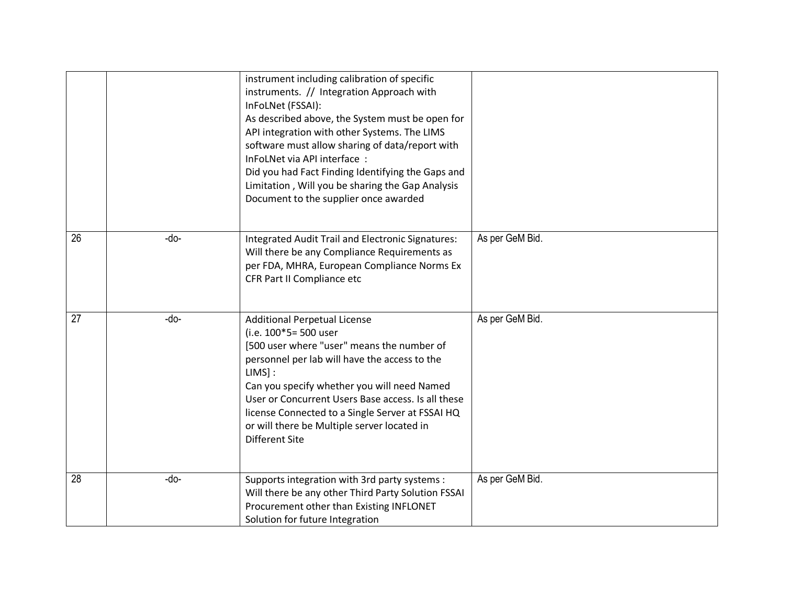|                 |      | instrument including calibration of specific<br>instruments. // Integration Approach with<br>InFoLNet (FSSAI):<br>As described above, the System must be open for<br>API integration with other Systems. The LIMS<br>software must allow sharing of data/report with<br>InFoLNet via API interface:<br>Did you had Fact Finding Identifying the Gaps and<br>Limitation, Will you be sharing the Gap Analysis<br>Document to the supplier once awarded |                 |
|-----------------|------|-------------------------------------------------------------------------------------------------------------------------------------------------------------------------------------------------------------------------------------------------------------------------------------------------------------------------------------------------------------------------------------------------------------------------------------------------------|-----------------|
| $\overline{26}$ | -do- | <b>Integrated Audit Trail and Electronic Signatures:</b><br>Will there be any Compliance Requirements as<br>per FDA, MHRA, European Compliance Norms Ex<br>CFR Part II Compliance etc                                                                                                                                                                                                                                                                 | As per GeM Bid. |
| 27              | -do- | <b>Additional Perpetual License</b><br>(i.e. 100*5= 500 user<br>[500 user where "user" means the number of<br>personnel per lab will have the access to the<br>$LIMS$ :<br>Can you specify whether you will need Named<br>User or Concurrent Users Base access. Is all these<br>license Connected to a Single Server at FSSAI HQ<br>or will there be Multiple server located in<br><b>Different Site</b>                                              | As per GeM Bid. |
| $\overline{28}$ | -do- | Supports integration with 3rd party systems :<br>Will there be any other Third Party Solution FSSAI<br>Procurement other than Existing INFLONET<br>Solution for future Integration                                                                                                                                                                                                                                                                    | As per GeM Bid. |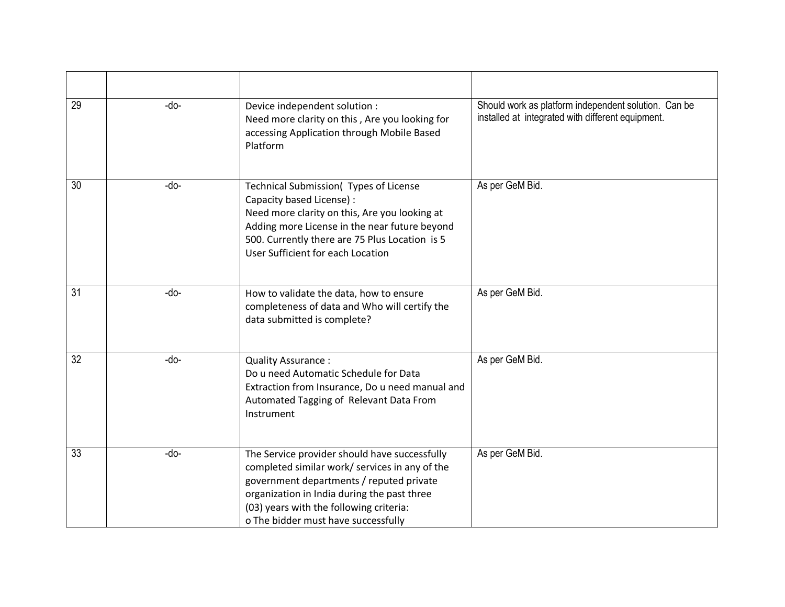| 29              | -do- | Device independent solution :<br>Need more clarity on this, Are you looking for<br>accessing Application through Mobile Based<br>Platform                                                                                                                                    | Should work as platform independent solution. Can be<br>installed at integrated with different equipment. |
|-----------------|------|------------------------------------------------------------------------------------------------------------------------------------------------------------------------------------------------------------------------------------------------------------------------------|-----------------------------------------------------------------------------------------------------------|
| $\overline{30}$ | -do- | Technical Submission( Types of License<br>Capacity based License) :<br>Need more clarity on this, Are you looking at<br>Adding more License in the near future beyond<br>500. Currently there are 75 Plus Location is 5<br>User Sufficient for each Location                 | As per GeM Bid.                                                                                           |
| 31              | -do- | How to validate the data, how to ensure<br>completeness of data and Who will certify the<br>data submitted is complete?                                                                                                                                                      | As per GeM Bid.                                                                                           |
| 32              | -do- | Quality Assurance:<br>Do u need Automatic Schedule for Data<br>Extraction from Insurance, Do u need manual and<br>Automated Tagging of Relevant Data From<br>Instrument                                                                                                      | As per GeM Bid.                                                                                           |
| 33              | -do- | The Service provider should have successfully<br>completed similar work/ services in any of the<br>government departments / reputed private<br>organization in India during the past three<br>(03) years with the following criteria:<br>o The bidder must have successfully | As per GeM Bid.                                                                                           |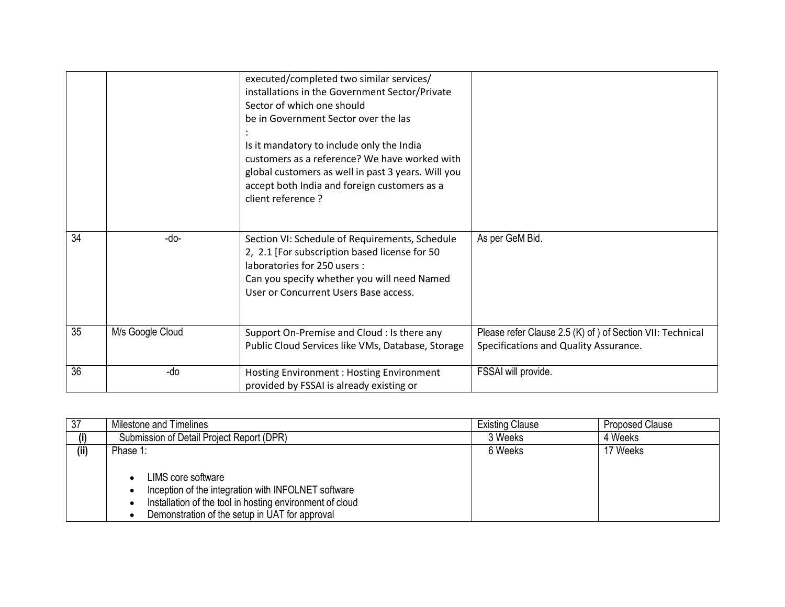|    |                  | executed/completed two similar services/<br>installations in the Government Sector/Private<br>Sector of which one should<br>be in Government Sector over the las<br>Is it mandatory to include only the India<br>customers as a reference? We have worked with<br>global customers as well in past 3 years. Will you<br>accept both India and foreign customers as a<br>client reference ? |                                                                                                     |
|----|------------------|--------------------------------------------------------------------------------------------------------------------------------------------------------------------------------------------------------------------------------------------------------------------------------------------------------------------------------------------------------------------------------------------|-----------------------------------------------------------------------------------------------------|
| 34 | -do-             | Section VI: Schedule of Requirements, Schedule<br>2, 2.1 [For subscription based license for 50<br>laboratories for 250 users:<br>Can you specify whether you will need Named<br>User or Concurrent Users Base access.                                                                                                                                                                     | As per GeM Bid.                                                                                     |
| 35 | M/s Google Cloud | Support On-Premise and Cloud : Is there any<br>Public Cloud Services like VMs, Database, Storage                                                                                                                                                                                                                                                                                           | Please refer Clause 2.5 (K) of ) of Section VII: Technical<br>Specifications and Quality Assurance. |
| 36 | -do              | Hosting Environment: Hosting Environment<br>provided by FSSAI is already existing or                                                                                                                                                                                                                                                                                                       | FSSAI will provide.                                                                                 |

| 37   | Milestone and Timelines                                                                                                                                                                              | <b>Existing Clause</b> | <b>Proposed Clause</b> |
|------|------------------------------------------------------------------------------------------------------------------------------------------------------------------------------------------------------|------------------------|------------------------|
|      | Submission of Detail Project Report (DPR)                                                                                                                                                            | 3 Weeks                | 4 Weeks                |
| (ii) | Phase 1:                                                                                                                                                                                             | 6 Weeks                | 17 Weeks               |
|      | LIMS core software<br>$\bullet$<br>Inception of the integration with INFOLNET software<br>Installation of the tool in hosting environment of cloud<br>Demonstration of the setup in UAT for approval |                        |                        |